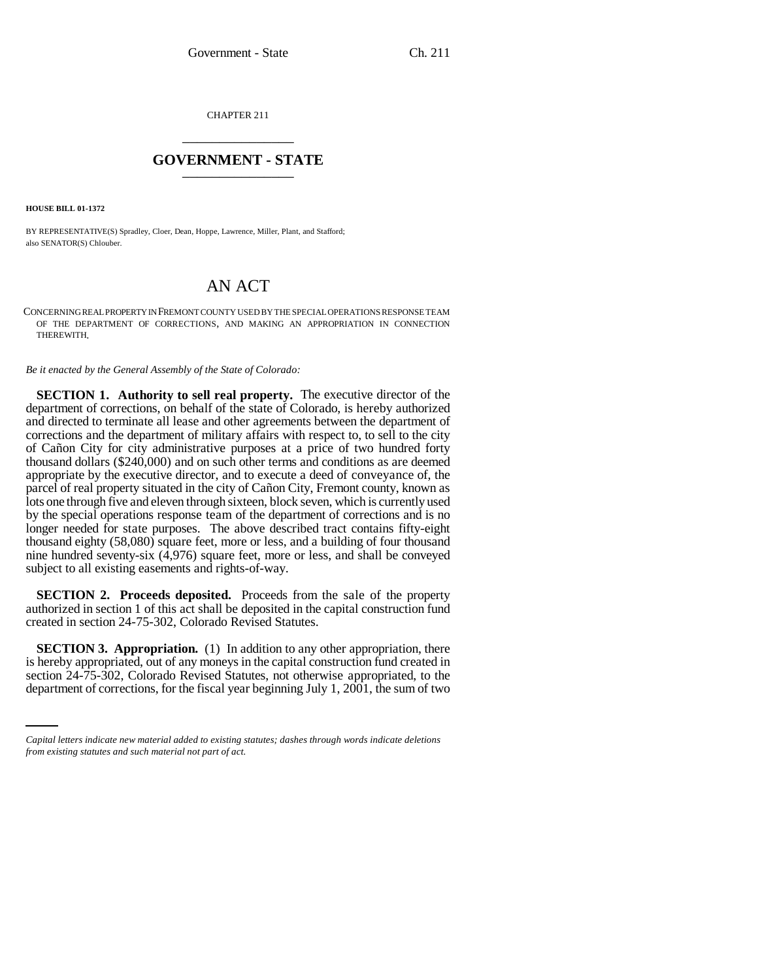CHAPTER 211 \_\_\_\_\_\_\_\_\_\_\_\_\_\_\_

## **GOVERNMENT - STATE** \_\_\_\_\_\_\_\_\_\_\_\_\_\_\_

**HOUSE BILL 01-1372**

BY REPRESENTATIVE(S) Spradley, Cloer, Dean, Hoppe, Lawrence, Miller, Plant, and Stafford; also SENATOR(S) Chlouber.

## AN ACT

CONCERNING REAL PROPERTY IN FREMONT COUNTY USED BY THE SPECIAL OPERATIONS RESPONSE TEAM OF THE DEPARTMENT OF CORRECTIONS, AND MAKING AN APPROPRIATION IN CONNECTION THEREWITH.

*Be it enacted by the General Assembly of the State of Colorado:*

**SECTION 1. Authority to sell real property.** The executive director of the department of corrections, on behalf of the state of Colorado, is hereby authorized and directed to terminate all lease and other agreements between the department of corrections and the department of military affairs with respect to, to sell to the city of Cañon City for city administrative purposes at a price of two hundred forty thousand dollars (\$240,000) and on such other terms and conditions as are deemed appropriate by the executive director, and to execute a deed of conveyance of, the parcel of real property situated in the city of Cañon City, Fremont county, known as lots one through five and eleven through sixteen, block seven, which is currently used by the special operations response team of the department of corrections and is no longer needed for state purposes. The above described tract contains fifty-eight thousand eighty (58,080) square feet, more or less, and a building of four thousand nine hundred seventy-six (4,976) square feet, more or less, and shall be conveyed subject to all existing easements and rights-of-way.

**SECTION 2. Proceeds deposited.** Proceeds from the sale of the property authorized in section 1 of this act shall be deposited in the capital construction fund created in section 24-75-302, Colorado Revised Statutes.

is hereby appropriated, out of any moneys in the capital construction fund created in **SECTION 3. Appropriation.** (1) In addition to any other appropriation, there section 24-75-302, Colorado Revised Statutes, not otherwise appropriated, to the department of corrections, for the fiscal year beginning July 1, 2001, the sum of two

*Capital letters indicate new material added to existing statutes; dashes through words indicate deletions from existing statutes and such material not part of act.*